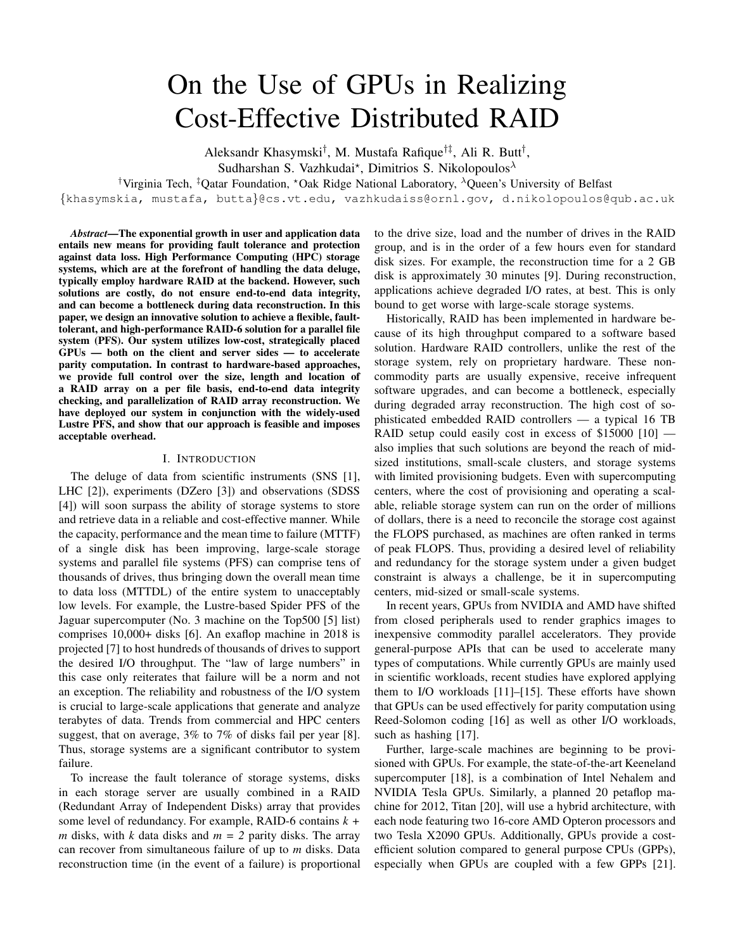# On the Use of GPUs in Realizing Cost-Effective Distributed RAID

Aleksandr Khasymski† , M. Mustafa Rafique†‡, Ali R. Butt† ,

Sudharshan S. Vazhkudai\*, Dimitrios S. Nikolopoulos $\lambda$ 

<sup>†</sup>Virginia Tech, <sup>‡</sup>Qatar Foundation, \*Oak Ridge National Laboratory, <sup> $\lambda$ </sup>Queen's University of Belfast

{khasymskia, mustafa, butta}@cs.vt.edu, vazhkudaiss@ornl.gov, d.nikolopoulos@qub.ac.uk

*Abstract***—The exponential growth in user and application data entails new means for providing fault tolerance and protection against data loss. High Performance Computing (HPC) storage systems, which are at the forefront of handling the data deluge, typically employ hardware RAID at the backend. However, such solutions are costly, do not ensure end-to-end data integrity, and can become a bottleneck during data reconstruction. In this paper, we design an innovative solution to achieve a flexible, faulttolerant, and high-performance RAID-6 solution for a parallel file system (PFS). Our system utilizes low-cost, strategically placed GPUs — both on the client and server sides — to accelerate parity computation. In contrast to hardware-based approaches, we provide full control over the size, length and location of a RAID array on a per file basis, end-to-end data integrity checking, and parallelization of RAID array reconstruction. We have deployed our system in conjunction with the widely-used Lustre PFS, and show that our approach is feasible and imposes acceptable overhead.**

## I. INTRODUCTION

The deluge of data from scientific instruments (SNS [1], LHC [2]), experiments (DZero [3]) and observations (SDSS [4]) will soon surpass the ability of storage systems to store and retrieve data in a reliable and cost-effective manner. While the capacity, performance and the mean time to failure (MTTF) of a single disk has been improving, large-scale storage systems and parallel file systems (PFS) can comprise tens of thousands of drives, thus bringing down the overall mean time to data loss (MTTDL) of the entire system to unacceptably low levels. For example, the Lustre-based Spider PFS of the Jaguar supercomputer (No. 3 machine on the Top500 [5] list) comprises 10,000+ disks [6]. An exaflop machine in 2018 is projected [7] to host hundreds of thousands of drives to support the desired I/O throughput. The "law of large numbers" in this case only reiterates that failure will be a norm and not an exception. The reliability and robustness of the I/O system is crucial to large-scale applications that generate and analyze terabytes of data. Trends from commercial and HPC centers suggest, that on average, 3% to 7% of disks fail per year [8]. Thus, storage systems are a significant contributor to system failure.

To increase the fault tolerance of storage systems, disks in each storage server are usually combined in a RAID (Redundant Array of Independent Disks) array that provides some level of redundancy. For example, RAID-6 contains *k + m* disks, with *k* data disks and  $m = 2$  parity disks. The array can recover from simultaneous failure of up to *m* disks. Data reconstruction time (in the event of a failure) is proportional

to the drive size, load and the number of drives in the RAID group, and is in the order of a few hours even for standard disk sizes. For example, the reconstruction time for a 2 GB disk is approximately 30 minutes [9]. During reconstruction, applications achieve degraded I/O rates, at best. This is only bound to get worse with large-scale storage systems.

Historically, RAID has been implemented in hardware because of its high throughput compared to a software based solution. Hardware RAID controllers, unlike the rest of the storage system, rely on proprietary hardware. These noncommodity parts are usually expensive, receive infrequent software upgrades, and can become a bottleneck, especially during degraded array reconstruction. The high cost of sophisticated embedded RAID controllers — a typical 16 TB RAID setup could easily cost in excess of \$15000 [10] also implies that such solutions are beyond the reach of midsized institutions, small-scale clusters, and storage systems with limited provisioning budgets. Even with supercomputing centers, where the cost of provisioning and operating a scalable, reliable storage system can run on the order of millions of dollars, there is a need to reconcile the storage cost against the FLOPS purchased, as machines are often ranked in terms of peak FLOPS. Thus, providing a desired level of reliability and redundancy for the storage system under a given budget constraint is always a challenge, be it in supercomputing centers, mid-sized or small-scale systems.

In recent years, GPUs from NVIDIA and AMD have shifted from closed peripherals used to render graphics images to inexpensive commodity parallel accelerators. They provide general-purpose APIs that can be used to accelerate many types of computations. While currently GPUs are mainly used in scientific workloads, recent studies have explored applying them to I/O workloads [11]–[15]. These efforts have shown that GPUs can be used effectively for parity computation using Reed-Solomon coding [16] as well as other I/O workloads, such as hashing [17].

Further, large-scale machines are beginning to be provisioned with GPUs. For example, the state-of-the-art Keeneland supercomputer [18], is a combination of Intel Nehalem and NVIDIA Tesla GPUs. Similarly, a planned 20 petaflop machine for 2012, Titan [20], will use a hybrid architecture, with each node featuring two 16-core AMD Opteron processors and two Tesla X2090 GPUs. Additionally, GPUs provide a costefficient solution compared to general purpose CPUs (GPPs), especially when GPUs are coupled with a few GPPs [21].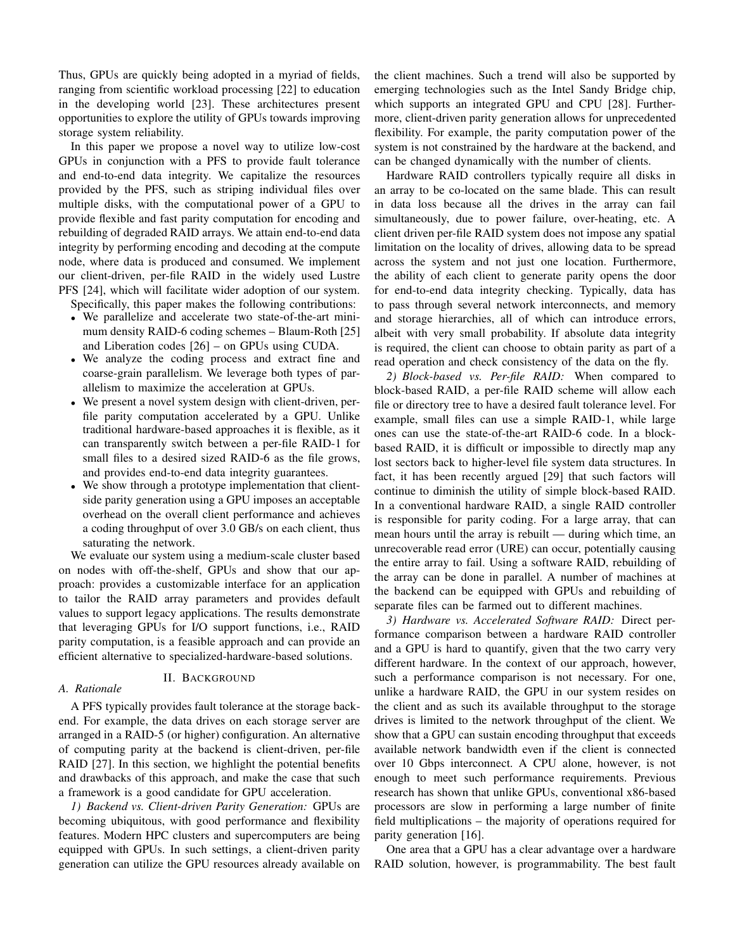Thus, GPUs are quickly being adopted in a myriad of fields, ranging from scientific workload processing [22] to education in the developing world [23]. These architectures present opportunities to explore the utility of GPUs towards improving storage system reliability.

In this paper we propose a novel way to utilize low-cost GPUs in conjunction with a PFS to provide fault tolerance and end-to-end data integrity. We capitalize the resources provided by the PFS, such as striping individual files over multiple disks, with the computational power of a GPU to provide flexible and fast parity computation for encoding and rebuilding of degraded RAID arrays. We attain end-to-end data integrity by performing encoding and decoding at the compute node, where data is produced and consumed. We implement our client-driven, per-file RAID in the widely used Lustre PFS [24], which will facilitate wider adoption of our system.

Specifically, this paper makes the following contributions:

- We parallelize and accelerate two state-of-the-art minimum density RAID-6 coding schemes – Blaum-Roth [25] and Liberation codes [26] – on GPUs using CUDA.
- We analyze the coding process and extract fine and coarse-grain parallelism. We leverage both types of parallelism to maximize the acceleration at GPUs.
- We present a novel system design with client-driven, perfile parity computation accelerated by a GPU. Unlike traditional hardware-based approaches it is flexible, as it can transparently switch between a per-file RAID-1 for small files to a desired sized RAID-6 as the file grows, and provides end-to-end data integrity guarantees.
- We show through a prototype implementation that clientside parity generation using a GPU imposes an acceptable overhead on the overall client performance and achieves a coding throughput of over 3.0 GB/s on each client, thus saturating the network.

We evaluate our system using a medium-scale cluster based on nodes with off-the-shelf, GPUs and show that our approach: provides a customizable interface for an application to tailor the RAID array parameters and provides default values to support legacy applications. The results demonstrate that leveraging GPUs for I/O support functions, i.e., RAID parity computation, is a feasible approach and can provide an efficient alternative to specialized-hardware-based solutions.

# II. BACKGROUND

*A. Rationale*

## A PFS typically provides fault tolerance at the storage backend. For example, the data drives on each storage server are arranged in a RAID-5 (or higher) configuration. An alternative of computing parity at the backend is client-driven, per-file RAID [27]. In this section, we highlight the potential benefits and drawbacks of this approach, and make the case that such a framework is a good candidate for GPU acceleration.

*1) Backend vs. Client-driven Parity Generation:* GPUs are becoming ubiquitous, with good performance and flexibility features. Modern HPC clusters and supercomputers are being equipped with GPUs. In such settings, a client-driven parity generation can utilize the GPU resources already available on the client machines. Such a trend will also be supported by emerging technologies such as the Intel Sandy Bridge chip, which supports an integrated GPU and CPU [28]. Furthermore, client-driven parity generation allows for unprecedented flexibility. For example, the parity computation power of the system is not constrained by the hardware at the backend, and can be changed dynamically with the number of clients.

Hardware RAID controllers typically require all disks in an array to be co-located on the same blade. This can result in data loss because all the drives in the array can fail simultaneously, due to power failure, over-heating, etc. A client driven per-file RAID system does not impose any spatial limitation on the locality of drives, allowing data to be spread across the system and not just one location. Furthermore, the ability of each client to generate parity opens the door for end-to-end data integrity checking. Typically, data has to pass through several network interconnects, and memory and storage hierarchies, all of which can introduce errors, albeit with very small probability. If absolute data integrity is required, the client can choose to obtain parity as part of a read operation and check consistency of the data on the fly.

*2) Block-based vs. Per-file RAID:* When compared to block-based RAID, a per-file RAID scheme will allow each file or directory tree to have a desired fault tolerance level. For example, small files can use a simple RAID-1, while large ones can use the state-of-the-art RAID-6 code. In a blockbased RAID, it is difficult or impossible to directly map any lost sectors back to higher-level file system data structures. In fact, it has been recently argued [29] that such factors will continue to diminish the utility of simple block-based RAID. In a conventional hardware RAID, a single RAID controller is responsible for parity coding. For a large array, that can mean hours until the array is rebuilt — during which time, an unrecoverable read error (URE) can occur, potentially causing the entire array to fail. Using a software RAID, rebuilding of the array can be done in parallel. A number of machines at the backend can be equipped with GPUs and rebuilding of separate files can be farmed out to different machines.

*3) Hardware vs. Accelerated Software RAID:* Direct performance comparison between a hardware RAID controller and a GPU is hard to quantify, given that the two carry very different hardware. In the context of our approach, however, such a performance comparison is not necessary. For one, unlike a hardware RAID, the GPU in our system resides on the client and as such its available throughput to the storage drives is limited to the network throughput of the client. We show that a GPU can sustain encoding throughput that exceeds available network bandwidth even if the client is connected over 10 Gbps interconnect. A CPU alone, however, is not enough to meet such performance requirements. Previous research has shown that unlike GPUs, conventional x86-based processors are slow in performing a large number of finite field multiplications – the majority of operations required for parity generation [16].

One area that a GPU has a clear advantage over a hardware RAID solution, however, is programmability. The best fault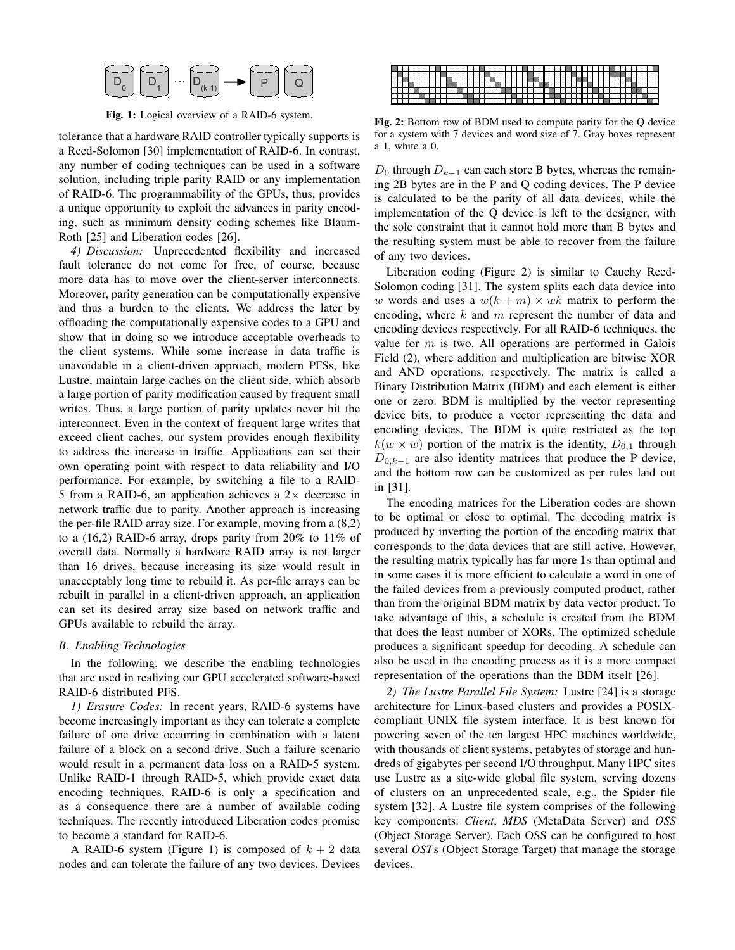

**Fig. 1:** Logical overview of a RAID-6 system.

tolerance that a hardware RAID controller typically supports is a Reed-Solomon [30] implementation of RAID-6. In contrast, any number of coding techniques can be used in a software solution, including triple parity RAID or any implementation of RAID-6. The programmability of the GPUs, thus, provides a unique opportunity to exploit the advances in parity encoding, such as minimum density coding schemes like Blaum-Roth [25] and Liberation codes [26].

*4) Discussion:* Unprecedented flexibility and increased fault tolerance do not come for free, of course, because more data has to move over the client-server interconnects. Moreover, parity generation can be computationally expensive and thus a burden to the clients. We address the later by offloading the computationally expensive codes to a GPU and show that in doing so we introduce acceptable overheads to the client systems. While some increase in data traffic is unavoidable in a client-driven approach, modern PFSs, like Lustre, maintain large caches on the client side, which absorb a large portion of parity modification caused by frequent small writes. Thus, a large portion of parity updates never hit the interconnect. Even in the context of frequent large writes that exceed client caches, our system provides enough flexibility to address the increase in traffic. Applications can set their own operating point with respect to data reliability and I/O performance. For example, by switching a file to a RAID-5 from a RAID-6, an application achieves a  $2\times$  decrease in network traffic due to parity. Another approach is increasing the per-file RAID array size. For example, moving from a (8,2) to a  $(16,2)$  RAID-6 array, drops parity from 20% to 11% of overall data. Normally a hardware RAID array is not larger than 16 drives, because increasing its size would result in unacceptably long time to rebuild it. As per-file arrays can be rebuilt in parallel in a client-driven approach, an application can set its desired array size based on network traffic and GPUs available to rebuild the array.

## *B. Enabling Technologies*

In the following, we describe the enabling technologies that are used in realizing our GPU accelerated software-based RAID-6 distributed PFS.

*1) Erasure Codes:* In recent years, RAID-6 systems have become increasingly important as they can tolerate a complete failure of one drive occurring in combination with a latent failure of a block on a second drive. Such a failure scenario would result in a permanent data loss on a RAID-5 system. Unlike RAID-1 through RAID-5, which provide exact data encoding techniques, RAID-6 is only a specification and as a consequence there are a number of available coding techniques. The recently introduced Liberation codes promise to become a standard for RAID-6.

A RAID-6 system (Figure 1) is composed of  $k + 2$  data nodes and can tolerate the failure of any two devices. Devices



**Fig. 2:** Bottom row of BDM used to compute parity for the Q device for a system with 7 devices and word size of 7. Gray boxes represent a 1, white a 0.

 $D_0$  through  $D_{k-1}$  can each store B bytes, whereas the remaining 2B bytes are in the P and Q coding devices. The P device is calculated to be the parity of all data devices, while the implementation of the Q device is left to the designer, with the sole constraint that it cannot hold more than B bytes and the resulting system must be able to recover from the failure of any two devices.

Liberation coding (Figure 2) is similar to Cauchy Reed-Solomon coding [31]. The system splits each data device into w words and uses a  $w(k + m) \times wk$  matrix to perform the encoding, where  $k$  and  $m$  represent the number of data and encoding devices respectively. For all RAID-6 techniques, the value for  $m$  is two. All operations are performed in Galois Field (2), where addition and multiplication are bitwise XOR and AND operations, respectively. The matrix is called a Binary Distribution Matrix (BDM) and each element is either one or zero. BDM is multiplied by the vector representing device bits, to produce a vector representing the data and encoding devices. The BDM is quite restricted as the top  $k(w \times w)$  portion of the matrix is the identity,  $D_{0,1}$  through  $D_{0,k-1}$  are also identity matrices that produce the P device, and the bottom row can be customized as per rules laid out in [31].

The encoding matrices for the Liberation codes are shown to be optimal or close to optimal. The decoding matrix is produced by inverting the portion of the encoding matrix that corresponds to the data devices that are still active. However, the resulting matrix typically has far more  $1s$  than optimal and in some cases it is more efficient to calculate a word in one of the failed devices from a previously computed product, rather than from the original BDM matrix by data vector product. To take advantage of this, a schedule is created from the BDM that does the least number of XORs. The optimized schedule produces a significant speedup for decoding. A schedule can also be used in the encoding process as it is a more compact representation of the operations than the BDM itself [26].

*2) The Lustre Parallel File System:* Lustre [24] is a storage architecture for Linux-based clusters and provides a POSIXcompliant UNIX file system interface. It is best known for powering seven of the ten largest HPC machines worldwide, with thousands of client systems, petabytes of storage and hundreds of gigabytes per second I/O throughput. Many HPC sites use Lustre as a site-wide global file system, serving dozens of clusters on an unprecedented scale, e.g., the Spider file system [32]. A Lustre file system comprises of the following key components: *Client*, *MDS* (MetaData Server) and *OSS* (Object Storage Server). Each OSS can be configured to host several *OST*s (Object Storage Target) that manage the storage devices.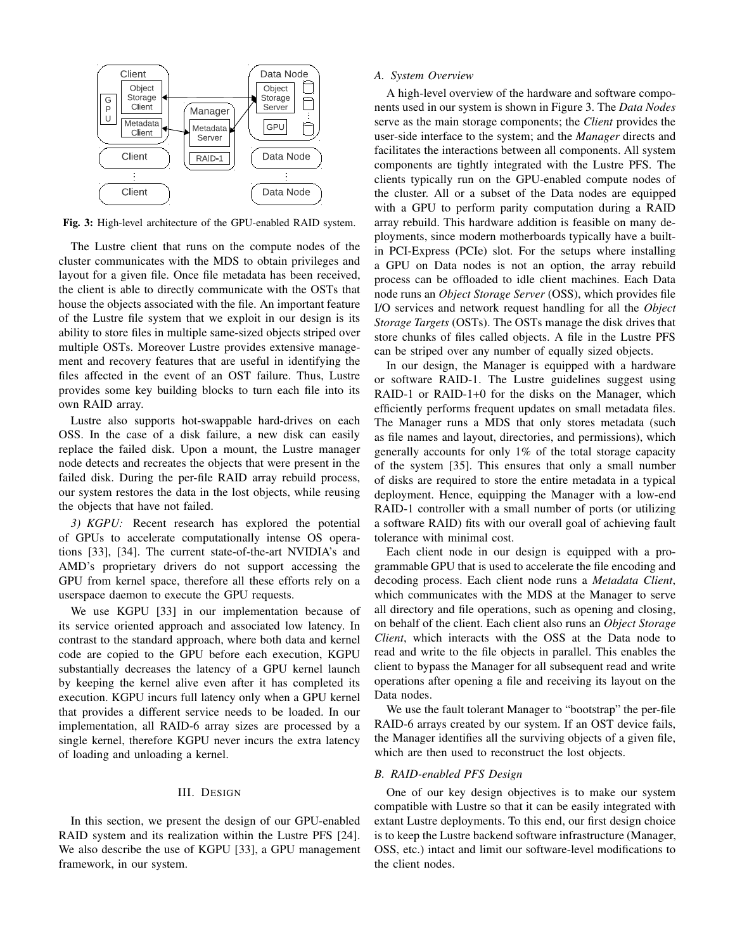

**Fig. 3:** High-level architecture of the GPU-enabled RAID system.

The Lustre client that runs on the compute nodes of the cluster communicates with the MDS to obtain privileges and layout for a given file. Once file metadata has been received, the client is able to directly communicate with the OSTs that house the objects associated with the file. An important feature of the Lustre file system that we exploit in our design is its ability to store files in multiple same-sized objects striped over multiple OSTs. Moreover Lustre provides extensive management and recovery features that are useful in identifying the files affected in the event of an OST failure. Thus, Lustre provides some key building blocks to turn each file into its own RAID array.

Lustre also supports hot-swappable hard-drives on each OSS. In the case of a disk failure, a new disk can easily replace the failed disk. Upon a mount, the Lustre manager node detects and recreates the objects that were present in the failed disk. During the per-file RAID array rebuild process, our system restores the data in the lost objects, while reusing the objects that have not failed.

*3) KGPU:* Recent research has explored the potential of GPUs to accelerate computationally intense OS operations [33], [34]. The current state-of-the-art NVIDIA's and AMD's proprietary drivers do not support accessing the GPU from kernel space, therefore all these efforts rely on a userspace daemon to execute the GPU requests.

We use KGPU [33] in our implementation because of its service oriented approach and associated low latency. In contrast to the standard approach, where both data and kernel code are copied to the GPU before each execution, KGPU substantially decreases the latency of a GPU kernel launch by keeping the kernel alive even after it has completed its execution. KGPU incurs full latency only when a GPU kernel that provides a different service needs to be loaded. In our implementation, all RAID-6 array sizes are processed by a single kernel, therefore KGPU never incurs the extra latency of loading and unloading a kernel.

## III. DESIGN

In this section, we present the design of our GPU-enabled RAID system and its realization within the Lustre PFS [24]. We also describe the use of KGPU [33], a GPU management framework, in our system.

## *A. System Overview*

A high-level overview of the hardware and software components used in our system is shown in Figure 3. The *Data Nodes* serve as the main storage components; the *Client* provides the user-side interface to the system; and the *Manager* directs and facilitates the interactions between all components. All system components are tightly integrated with the Lustre PFS. The clients typically run on the GPU-enabled compute nodes of the cluster. All or a subset of the Data nodes are equipped with a GPU to perform parity computation during a RAID array rebuild. This hardware addition is feasible on many deployments, since modern motherboards typically have a builtin PCI-Express (PCIe) slot. For the setups where installing a GPU on Data nodes is not an option, the array rebuild process can be offloaded to idle client machines. Each Data node runs an *Object Storage Server* (OSS), which provides file I/O services and network request handling for all the *Object Storage Targets* (OSTs). The OSTs manage the disk drives that store chunks of files called objects. A file in the Lustre PFS can be striped over any number of equally sized objects.

In our design, the Manager is equipped with a hardware or software RAID-1. The Lustre guidelines suggest using RAID-1 or RAID-1+0 for the disks on the Manager, which efficiently performs frequent updates on small metadata files. The Manager runs a MDS that only stores metadata (such as file names and layout, directories, and permissions), which generally accounts for only 1% of the total storage capacity of the system [35]. This ensures that only a small number of disks are required to store the entire metadata in a typical deployment. Hence, equipping the Manager with a low-end RAID-1 controller with a small number of ports (or utilizing a software RAID) fits with our overall goal of achieving fault tolerance with minimal cost.

Each client node in our design is equipped with a programmable GPU that is used to accelerate the file encoding and decoding process. Each client node runs a *Metadata Client*, which communicates with the MDS at the Manager to serve all directory and file operations, such as opening and closing, on behalf of the client. Each client also runs an *Object Storage Client*, which interacts with the OSS at the Data node to read and write to the file objects in parallel. This enables the client to bypass the Manager for all subsequent read and write operations after opening a file and receiving its layout on the Data nodes.

We use the fault tolerant Manager to "bootstrap" the per-file RAID-6 arrays created by our system. If an OST device fails, the Manager identifies all the surviving objects of a given file, which are then used to reconstruct the lost objects.

## *B. RAID-enabled PFS Design*

One of our key design objectives is to make our system compatible with Lustre so that it can be easily integrated with extant Lustre deployments. To this end, our first design choice is to keep the Lustre backend software infrastructure (Manager, OSS, etc.) intact and limit our software-level modifications to the client nodes.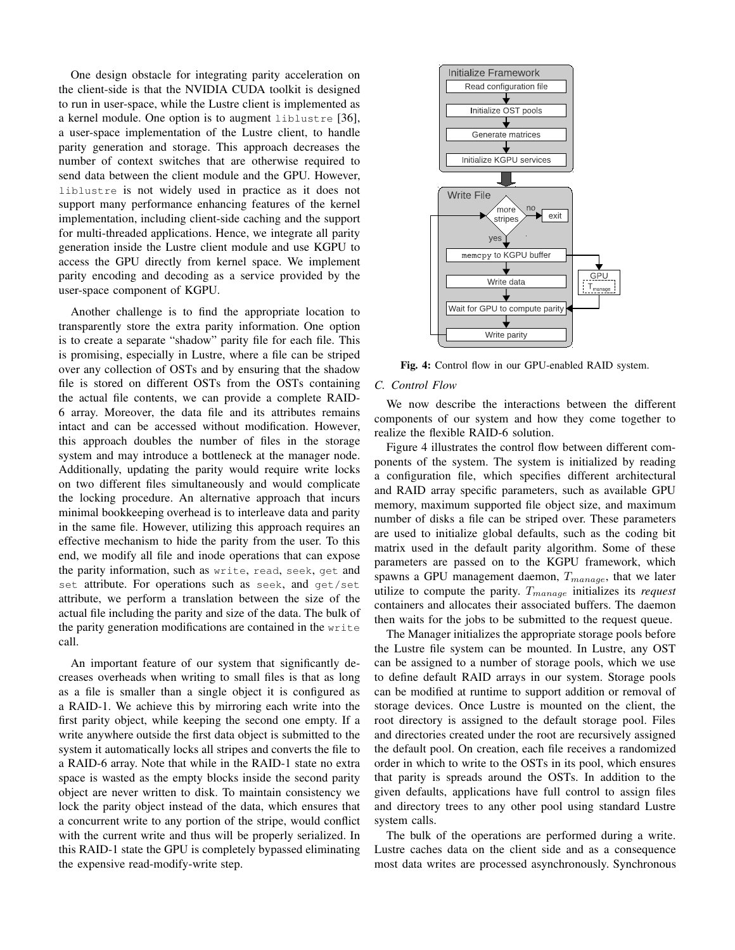One design obstacle for integrating parity acceleration on the client-side is that the NVIDIA CUDA toolkit is designed to run in user-space, while the Lustre client is implemented as a kernel module. One option is to augment liblustre [36], a user-space implementation of the Lustre client, to handle parity generation and storage. This approach decreases the number of context switches that are otherwise required to send data between the client module and the GPU. However, liblustre is not widely used in practice as it does not support many performance enhancing features of the kernel implementation, including client-side caching and the support for multi-threaded applications. Hence, we integrate all parity generation inside the Lustre client module and use KGPU to access the GPU directly from kernel space. We implement parity encoding and decoding as a service provided by the user-space component of KGPU.

Another challenge is to find the appropriate location to transparently store the extra parity information. One option is to create a separate "shadow" parity file for each file. This is promising, especially in Lustre, where a file can be striped over any collection of OSTs and by ensuring that the shadow file is stored on different OSTs from the OSTs containing the actual file contents, we can provide a complete RAID-6 array. Moreover, the data file and its attributes remains intact and can be accessed without modification. However, this approach doubles the number of files in the storage system and may introduce a bottleneck at the manager node. Additionally, updating the parity would require write locks on two different files simultaneously and would complicate the locking procedure. An alternative approach that incurs minimal bookkeeping overhead is to interleave data and parity in the same file. However, utilizing this approach requires an effective mechanism to hide the parity from the user. To this end, we modify all file and inode operations that can expose the parity information, such as write, read, seek, get and set attribute. For operations such as seek, and get/set attribute, we perform a translation between the size of the actual file including the parity and size of the data. The bulk of the parity generation modifications are contained in the write call.

An important feature of our system that significantly decreases overheads when writing to small files is that as long as a file is smaller than a single object it is configured as a RAID-1. We achieve this by mirroring each write into the first parity object, while keeping the second one empty. If a write anywhere outside the first data object is submitted to the system it automatically locks all stripes and converts the file to a RAID-6 array. Note that while in the RAID-1 state no extra space is wasted as the empty blocks inside the second parity object are never written to disk. To maintain consistency we lock the parity object instead of the data, which ensures that a concurrent write to any portion of the stripe, would conflict with the current write and thus will be properly serialized. In this RAID-1 state the GPU is completely bypassed eliminating the expensive read-modify-write step.



**Fig. 4:** Control flow in our GPU-enabled RAID system.

## *C. Control Flow*

We now describe the interactions between the different components of our system and how they come together to realize the flexible RAID-6 solution.

Figure 4 illustrates the control flow between different components of the system. The system is initialized by reading a configuration file, which specifies different architectural and RAID array specific parameters, such as available GPU memory, maximum supported file object size, and maximum number of disks a file can be striped over. These parameters are used to initialize global defaults, such as the coding bit matrix used in the default parity algorithm. Some of these parameters are passed on to the KGPU framework, which spawns a GPU management daemon,  $T_{manage}$ , that we later utilize to compute the parity.  $T_{manage}$  initializes its *request* containers and allocates their associated buffers. The daemon then waits for the jobs to be submitted to the request queue.

The Manager initializes the appropriate storage pools before the Lustre file system can be mounted. In Lustre, any OST can be assigned to a number of storage pools, which we use to define default RAID arrays in our system. Storage pools can be modified at runtime to support addition or removal of storage devices. Once Lustre is mounted on the client, the root directory is assigned to the default storage pool. Files and directories created under the root are recursively assigned the default pool. On creation, each file receives a randomized order in which to write to the OSTs in its pool, which ensures that parity is spreads around the OSTs. In addition to the given defaults, applications have full control to assign files and directory trees to any other pool using standard Lustre system calls.

The bulk of the operations are performed during a write. Lustre caches data on the client side and as a consequence most data writes are processed asynchronously. Synchronous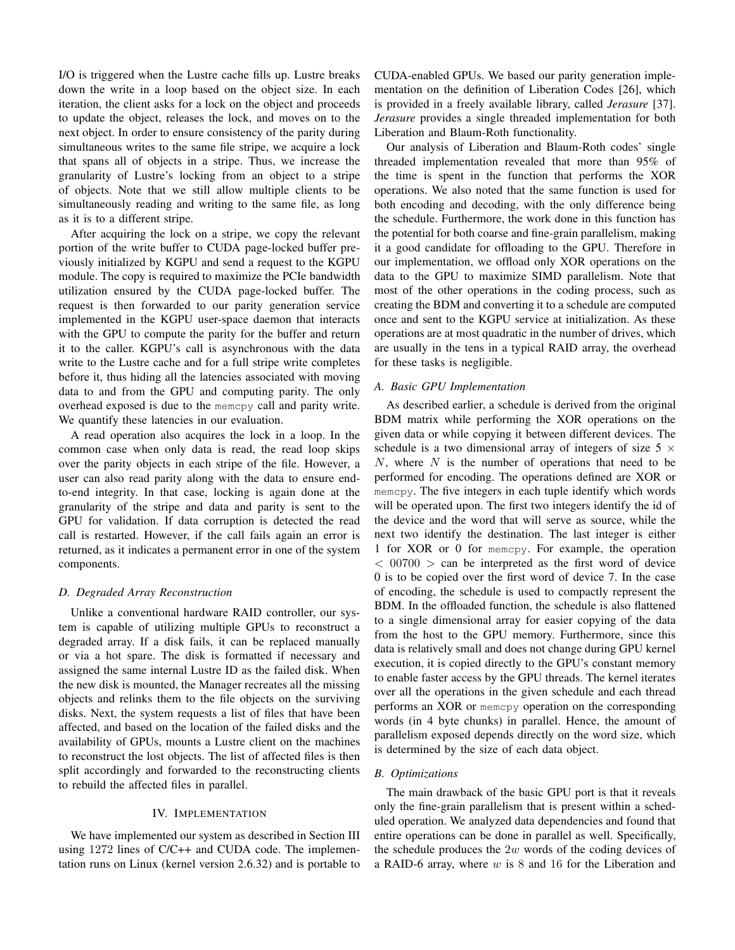I/O is triggered when the Lustre cache fills up. Lustre breaks down the write in a loop based on the object size. In each iteration, the client asks for a lock on the object and proceeds to update the object, releases the lock, and moves on to the next object. In order to ensure consistency of the parity during simultaneous writes to the same file stripe, we acquire a lock that spans all of objects in a stripe. Thus, we increase the granularity of Lustre's locking from an object to a stripe of objects. Note that we still allow multiple clients to be simultaneously reading and writing to the same file, as long as it is to a different stripe.

After acquiring the lock on a stripe, we copy the relevant portion of the write buffer to CUDA page-locked buffer previously initialized by KGPU and send a request to the KGPU module. The copy is required to maximize the PCIe bandwidth utilization ensured by the CUDA page-locked buffer. The request is then forwarded to our parity generation service implemented in the KGPU user-space daemon that interacts with the GPU to compute the parity for the buffer and return it to the caller. KGPU's call is asynchronous with the data write to the Lustre cache and for a full stripe write completes before it, thus hiding all the latencies associated with moving data to and from the GPU and computing parity. The only overhead exposed is due to the memcpy call and parity write. We quantify these latencies in our evaluation.

A read operation also acquires the lock in a loop. In the common case when only data is read, the read loop skips over the parity objects in each stripe of the file. However, a user can also read parity along with the data to ensure endto-end integrity. In that case, locking is again done at the granularity of the stripe and data and parity is sent to the GPU for validation. If data corruption is detected the read call is restarted. However, if the call fails again an error is returned, as it indicates a permanent error in one of the system components.

## *D. Degraded Array Reconstruction*

Unlike a conventional hardware RAID controller, our system is capable of utilizing multiple GPUs to reconstruct a degraded array. If a disk fails, it can be replaced manually or via a hot spare. The disk is formatted if necessary and assigned the same internal Lustre ID as the failed disk. When the new disk is mounted, the Manager recreates all the missing objects and relinks them to the file objects on the surviving disks. Next, the system requests a list of files that have been affected, and based on the location of the failed disks and the availability of GPUs, mounts a Lustre client on the machines to reconstruct the lost objects. The list of affected files is then split accordingly and forwarded to the reconstructing clients to rebuild the affected files in parallel.

## IV. IMPLEMENTATION

We have implemented our system as described in Section III using 1272 lines of C/C++ and CUDA code. The implementation runs on Linux (kernel version 2.6.32) and is portable to CUDA-enabled GPUs. We based our parity generation implementation on the definition of Liberation Codes [26], which is provided in a freely available library, called *Jerasure* [37]. *Jerasure* provides a single threaded implementation for both Liberation and Blaum-Roth functionality.

Our analysis of Liberation and Blaum-Roth codes' single threaded implementation revealed that more than 95% of the time is spent in the function that performs the XOR operations. We also noted that the same function is used for both encoding and decoding, with the only difference being the schedule. Furthermore, the work done in this function has the potential for both coarse and fine-grain parallelism, making it a good candidate for offloading to the GPU. Therefore in our implementation, we offload only XOR operations on the data to the GPU to maximize SIMD parallelism. Note that most of the other operations in the coding process, such as creating the BDM and converting it to a schedule are computed once and sent to the KGPU service at initialization. As these operations are at most quadratic in the number of drives, which are usually in the tens in a typical RAID array, the overhead for these tasks is negligible.

## *A. Basic GPU Implementation*

As described earlier, a schedule is derived from the original BDM matrix while performing the XOR operations on the given data or while copying it between different devices. The schedule is a two dimensional array of integers of size  $5 \times$  $N$ , where  $N$  is the number of operations that need to be performed for encoding. The operations defined are XOR or memcpy. The five integers in each tuple identify which words will be operated upon. The first two integers identify the id of the device and the word that will serve as source, while the next two identify the destination. The last integer is either 1 for XOR or 0 for memcpy. For example, the operation  $< 00700$   $>$  can be interpreted as the first word of device 0 is to be copied over the first word of device 7. In the case of encoding, the schedule is used to compactly represent the BDM. In the offloaded function, the schedule is also flattened to a single dimensional array for easier copying of the data from the host to the GPU memory. Furthermore, since this data is relatively small and does not change during GPU kernel execution, it is copied directly to the GPU's constant memory to enable faster access by the GPU threads. The kernel iterates over all the operations in the given schedule and each thread performs an XOR or memcpy operation on the corresponding words (in 4 byte chunks) in parallel. Hence, the amount of parallelism exposed depends directly on the word size, which is determined by the size of each data object.

## *B. Optimizations*

The main drawback of the basic GPU port is that it reveals only the fine-grain parallelism that is present within a scheduled operation. We analyzed data dependencies and found that entire operations can be done in parallel as well. Specifically, the schedule produces the  $2w$  words of the coding devices of a RAID-6 array, where  $w$  is 8 and 16 for the Liberation and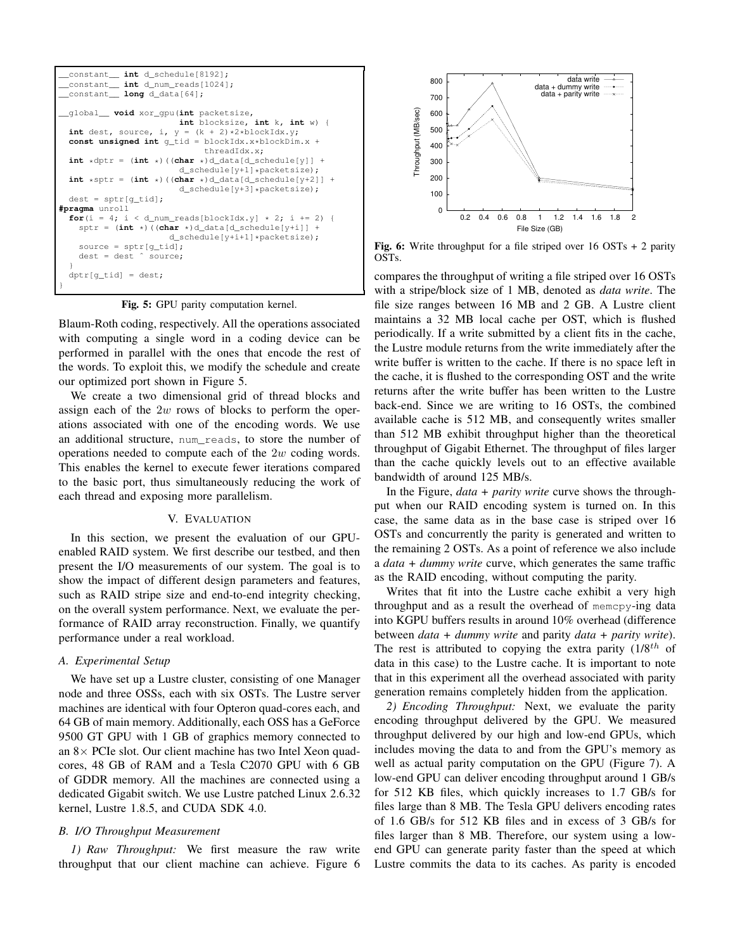```
__constant__ int d_schedule[8192];
 constant int d_num_reads[1024];
 __constant__ long d_data[64];
 __global__ void xor_gpu(int packetsize,
                        int blocksize, int k, int w) {
 int dest, source, i, y = (k + 2) * 2 * blockIdx.y;
 const unsigned int g_tid = blockIdx.x*blockDim.x
                             threadIdx.x;
 int *dptr = (int *)((char *) d_data[d_schedule[y]) +d_schedule[y+1]*packetsize);
 int *sptr = (int *)((char * )d_data[d_schedule[y+2]] +d_schedule[y+3]*packetsize);
 dest = sptr[q_tid];#pragma unroll
 for(i = 4; i < d_num_reads[blockIdx.y] * 2; i += 2) {
   sptr = (int *)((char *)d_data[d_schedule[y+i]] +
                      d_schedule[y+i+1]*packetsize);
   source = sptr[g_tid];
   dest = dest ˆ source;
  }
 dptr[g_tid] = dest;
}
```
**Fig. 5:** GPU parity computation kernel.

Blaum-Roth coding, respectively. All the operations associated with computing a single word in a coding device can be performed in parallel with the ones that encode the rest of the words. To exploit this, we modify the schedule and create our optimized port shown in Figure 5.

We create a two dimensional grid of thread blocks and assign each of the  $2w$  rows of blocks to perform the operations associated with one of the encoding words. We use an additional structure, num\_reads, to store the number of operations needed to compute each of the  $2w$  coding words. This enables the kernel to execute fewer iterations compared to the basic port, thus simultaneously reducing the work of each thread and exposing more parallelism.

## V. EVALUATION

In this section, we present the evaluation of our GPUenabled RAID system. We first describe our testbed, and then present the I/O measurements of our system. The goal is to show the impact of different design parameters and features, such as RAID stripe size and end-to-end integrity checking, on the overall system performance. Next, we evaluate the performance of RAID array reconstruction. Finally, we quantify performance under a real workload.

#### *A. Experimental Setup*

We have set up a Lustre cluster, consisting of one Manager node and three OSSs, each with six OSTs. The Lustre server machines are identical with four Opteron quad-cores each, and 64 GB of main memory. Additionally, each OSS has a GeForce 9500 GT GPU with 1 GB of graphics memory connected to an  $8 \times$  PCIe slot. Our client machine has two Intel Xeon quadcores, 48 GB of RAM and a Tesla C2070 GPU with 6 GB of GDDR memory. All the machines are connected using a dedicated Gigabit switch. We use Lustre patched Linux 2.6.32 kernel, Lustre 1.8.5, and CUDA SDK 4.0.

#### *B. I/O Throughput Measurement*

*1) Raw Throughput:* We first measure the raw write throughput that our client machine can achieve. Figure 6



**Fig. 6:** Write throughput for a file striped over 16 OSTs + 2 parity OSTs.

compares the throughput of writing a file striped over 16 OSTs with a stripe/block size of 1 MB, denoted as *data write*. The file size ranges between 16 MB and 2 GB. A Lustre client maintains a 32 MB local cache per OST, which is flushed periodically. If a write submitted by a client fits in the cache, the Lustre module returns from the write immediately after the write buffer is written to the cache. If there is no space left in the cache, it is flushed to the corresponding OST and the write returns after the write buffer has been written to the Lustre back-end. Since we are writing to 16 OSTs, the combined available cache is 512 MB, and consequently writes smaller than 512 MB exhibit throughput higher than the theoretical throughput of Gigabit Ethernet. The throughput of files larger than the cache quickly levels out to an effective available bandwidth of around 125 MB/s.

In the Figure, *data + parity write* curve shows the throughput when our RAID encoding system is turned on. In this case, the same data as in the base case is striped over 16 OSTs and concurrently the parity is generated and written to the remaining 2 OSTs. As a point of reference we also include a *data + dummy write* curve, which generates the same traffic as the RAID encoding, without computing the parity.

Writes that fit into the Lustre cache exhibit a very high throughput and as a result the overhead of memcpy-ing data into KGPU buffers results in around 10% overhead (difference between *data + dummy write* and parity *data + parity write*). The rest is attributed to copying the extra parity  $(1/8^{th})$  of data in this case) to the Lustre cache. It is important to note that in this experiment all the overhead associated with parity generation remains completely hidden from the application.

*2) Encoding Throughput:* Next, we evaluate the parity encoding throughput delivered by the GPU. We measured throughput delivered by our high and low-end GPUs, which includes moving the data to and from the GPU's memory as well as actual parity computation on the GPU (Figure 7). A low-end GPU can deliver encoding throughput around 1 GB/s for 512 KB files, which quickly increases to 1.7 GB/s for files large than 8 MB. The Tesla GPU delivers encoding rates of 1.6 GB/s for 512 KB files and in excess of 3 GB/s for files larger than 8 MB. Therefore, our system using a lowend GPU can generate parity faster than the speed at which Lustre commits the data to its caches. As parity is encoded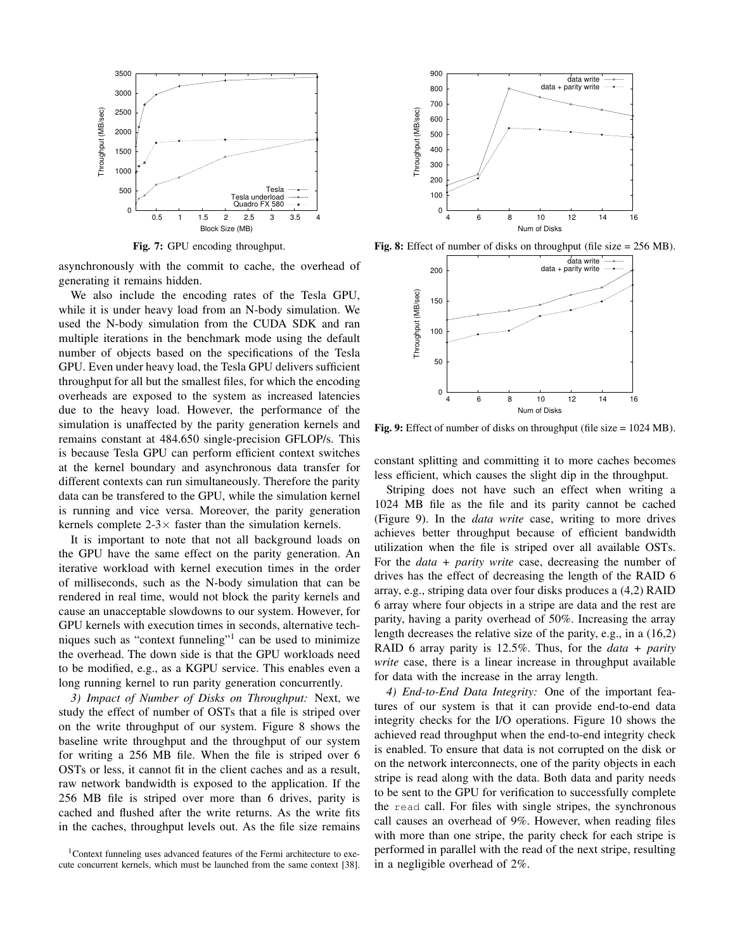

**Fig. 7:** GPU encoding throughput.

asynchronously with the commit to cache, the overhead of generating it remains hidden.

We also include the encoding rates of the Tesla GPU, while it is under heavy load from an N-body simulation. We used the N-body simulation from the CUDA SDK and ran multiple iterations in the benchmark mode using the default number of objects based on the specifications of the Tesla GPU. Even under heavy load, the Tesla GPU delivers sufficient throughput for all but the smallest files, for which the encoding overheads are exposed to the system as increased latencies due to the heavy load. However, the performance of the simulation is unaffected by the parity generation kernels and remains constant at 484.650 single-precision GFLOP/s. This is because Tesla GPU can perform efficient context switches at the kernel boundary and asynchronous data transfer for different contexts can run simultaneously. Therefore the parity data can be transfered to the GPU, while the simulation kernel is running and vice versa. Moreover, the parity generation kernels complete  $2-3\times$  faster than the simulation kernels.

It is important to note that not all background loads on the GPU have the same effect on the parity generation. An iterative workload with kernel execution times in the order of milliseconds, such as the N-body simulation that can be rendered in real time, would not block the parity kernels and cause an unacceptable slowdowns to our system. However, for GPU kernels with execution times in seconds, alternative techniques such as "context funneling"<sup>1</sup> can be used to minimize the overhead. The down side is that the GPU workloads need to be modified, e.g., as a KGPU service. This enables even a long running kernel to run parity generation concurrently.

*3) Impact of Number of Disks on Throughput:* Next, we study the effect of number of OSTs that a file is striped over on the write throughput of our system. Figure 8 shows the baseline write throughput and the throughput of our system for writing a 256 MB file. When the file is striped over 6 OSTs or less, it cannot fit in the client caches and as a result, raw network bandwidth is exposed to the application. If the 256 MB file is striped over more than 6 drives, parity is cached and flushed after the write returns. As the write fits in the caches, throughput levels out. As the file size remains



**Fig. 8:** Effect of number of disks on throughput (file size = 256 MB).



**Fig. 9:** Effect of number of disks on throughput (file size = 1024 MB).

constant splitting and committing it to more caches becomes less efficient, which causes the slight dip in the throughput.

Striping does not have such an effect when writing a 1024 MB file as the file and its parity cannot be cached (Figure 9). In the *data write* case, writing to more drives achieves better throughput because of efficient bandwidth utilization when the file is striped over all available OSTs. For the *data + parity write* case, decreasing the number of drives has the effect of decreasing the length of the RAID 6 array, e.g., striping data over four disks produces a (4,2) RAID 6 array where four objects in a stripe are data and the rest are parity, having a parity overhead of 50%. Increasing the array length decreases the relative size of the parity, e.g., in a (16,2) RAID 6 array parity is 12.5%. Thus, for the *data + parity write* case, there is a linear increase in throughput available for data with the increase in the array length.

*4) End-to-End Data Integrity:* One of the important features of our system is that it can provide end-to-end data integrity checks for the I/O operations. Figure 10 shows the achieved read throughput when the end-to-end integrity check is enabled. To ensure that data is not corrupted on the disk or on the network interconnects, one of the parity objects in each stripe is read along with the data. Both data and parity needs to be sent to the GPU for verification to successfully complete the read call. For files with single stripes, the synchronous call causes an overhead of 9%. However, when reading files with more than one stripe, the parity check for each stripe is performed in parallel with the read of the next stripe, resulting in a negligible overhead of 2%.

<sup>&</sup>lt;sup>1</sup>Context funneling uses advanced features of the Fermi architecture to execute concurrent kernels, which must be launched from the same context [38].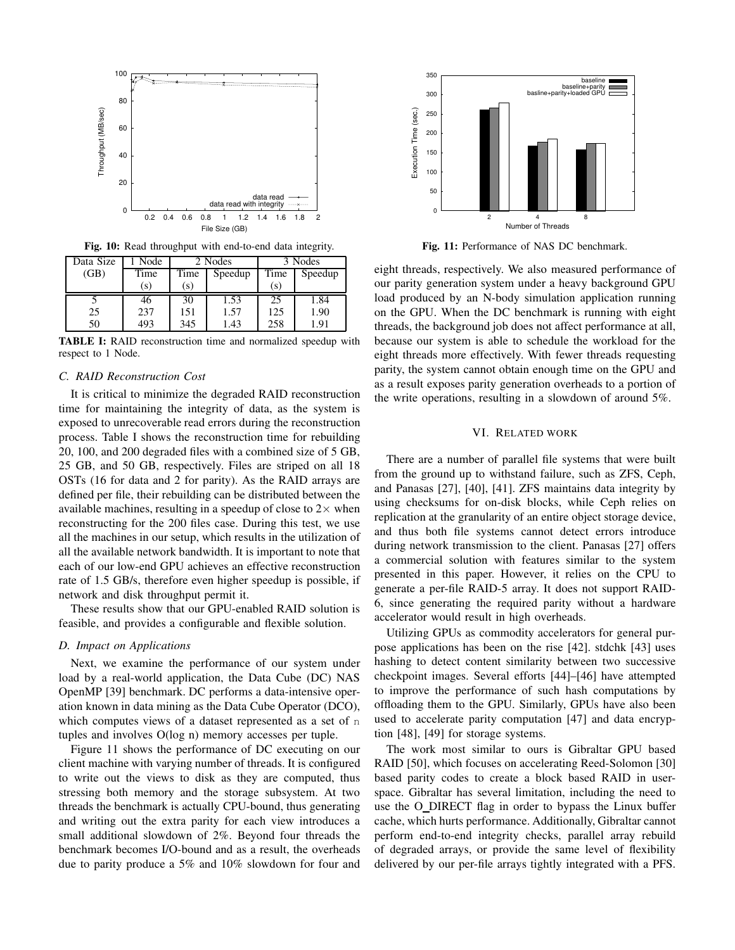

**Fig. 10:** Read throughput with end-to-end data integrity.

| Data Size | Node | 2 Nodes |         | 3 Nodes |         |
|-----------|------|---------|---------|---------|---------|
| (GB)      | Time | Time    | Speedup | Time    | Speedup |
|           | (s)  | (s)     |         | (s)     |         |
|           | 46   | 30      | 1.53    | 25      | 1.84    |
| 25        | 237  | 151     | 1.57    | 125     | 1.90    |
| 50        | 493  | 345     | 1.43    | 258     | 1.91    |

**TABLE I:** RAID reconstruction time and normalized speedup with respect to 1 Node.

## *C. RAID Reconstruction Cost*

It is critical to minimize the degraded RAID reconstruction time for maintaining the integrity of data, as the system is exposed to unrecoverable read errors during the reconstruction process. Table I shows the reconstruction time for rebuilding 20, 100, and 200 degraded files with a combined size of 5 GB, 25 GB, and 50 GB, respectively. Files are striped on all 18 OSTs (16 for data and 2 for parity). As the RAID arrays are defined per file, their rebuilding can be distributed between the available machines, resulting in a speedup of close to  $2\times$  when reconstructing for the 200 files case. During this test, we use all the machines in our setup, which results in the utilization of all the available network bandwidth. It is important to note that each of our low-end GPU achieves an effective reconstruction rate of 1.5 GB/s, therefore even higher speedup is possible, if network and disk throughput permit it.

These results show that our GPU-enabled RAID solution is feasible, and provides a configurable and flexible solution.

## *D. Impact on Applications*

Next, we examine the performance of our system under load by a real-world application, the Data Cube (DC) NAS OpenMP [39] benchmark. DC performs a data-intensive operation known in data mining as the Data Cube Operator (DCO), which computes views of a dataset represented as a set of n tuples and involves O(log n) memory accesses per tuple.

Figure 11 shows the performance of DC executing on our client machine with varying number of threads. It is configured to write out the views to disk as they are computed, thus stressing both memory and the storage subsystem. At two threads the benchmark is actually CPU-bound, thus generating and writing out the extra parity for each view introduces a small additional slowdown of 2%. Beyond four threads the benchmark becomes I/O-bound and as a result, the overheads due to parity produce a 5% and 10% slowdown for four and



**Fig. 11:** Performance of NAS DC benchmark.

eight threads, respectively. We also measured performance of our parity generation system under a heavy background GPU load produced by an N-body simulation application running on the GPU. When the DC benchmark is running with eight threads, the background job does not affect performance at all, because our system is able to schedule the workload for the eight threads more effectively. With fewer threads requesting parity, the system cannot obtain enough time on the GPU and as a result exposes parity generation overheads to a portion of the write operations, resulting in a slowdown of around 5%.

### VI. RELATED WORK

There are a number of parallel file systems that were built from the ground up to withstand failure, such as ZFS, Ceph, and Panasas [27], [40], [41]. ZFS maintains data integrity by using checksums for on-disk blocks, while Ceph relies on replication at the granularity of an entire object storage device, and thus both file systems cannot detect errors introduce during network transmission to the client. Panasas [27] offers a commercial solution with features similar to the system presented in this paper. However, it relies on the CPU to generate a per-file RAID-5 array. It does not support RAID-6, since generating the required parity without a hardware accelerator would result in high overheads.

Utilizing GPUs as commodity accelerators for general purpose applications has been on the rise [42]. stdchk [43] uses hashing to detect content similarity between two successive checkpoint images. Several efforts [44]–[46] have attempted to improve the performance of such hash computations by offloading them to the GPU. Similarly, GPUs have also been used to accelerate parity computation [47] and data encryption [48], [49] for storage systems.

The work most similar to ours is Gibraltar GPU based RAID [50], which focuses on accelerating Reed-Solomon [30] based parity codes to create a block based RAID in userspace. Gibraltar has several limitation, including the need to use the O DIRECT flag in order to bypass the Linux buffer cache, which hurts performance. Additionally, Gibraltar cannot perform end-to-end integrity checks, parallel array rebuild of degraded arrays, or provide the same level of flexibility delivered by our per-file arrays tightly integrated with a PFS.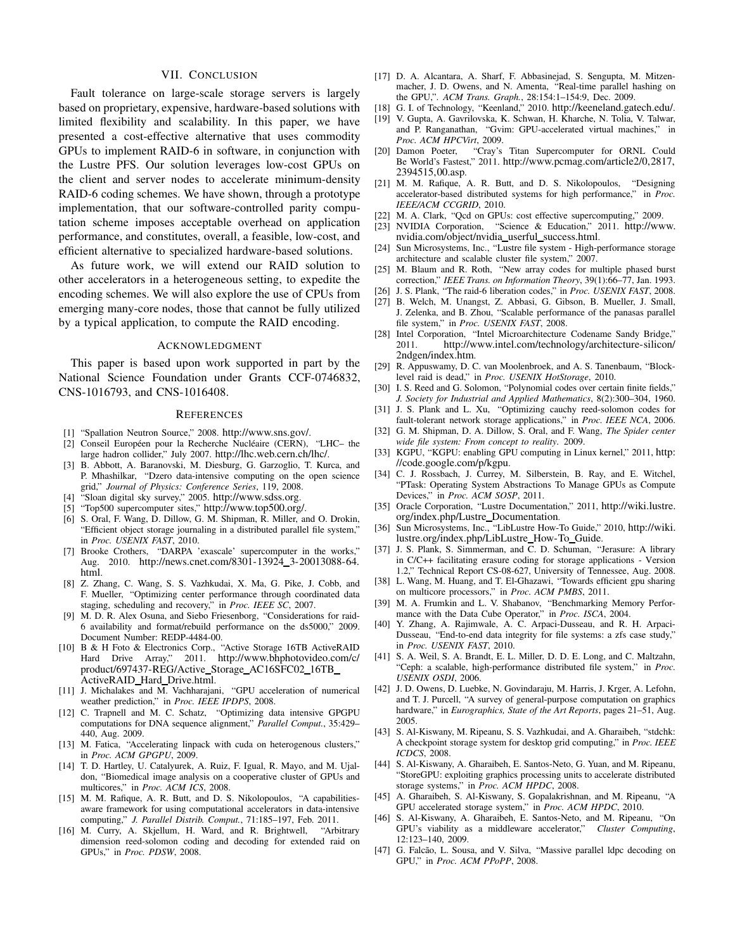## VII. CONCLUSION

Fault tolerance on large-scale storage servers is largely based on proprietary, expensive, hardware-based solutions with limited flexibility and scalability. In this paper, we have presented a cost-effective alternative that uses commodity GPUs to implement RAID-6 in software, in conjunction with the Lustre PFS. Our solution leverages low-cost GPUs on the client and server nodes to accelerate minimum-density RAID-6 coding schemes. We have shown, through a prototype implementation, that our software-controlled parity computation scheme imposes acceptable overhead on application performance, and constitutes, overall, a feasible, low-cost, and efficient alternative to specialized hardware-based solutions.

As future work, we will extend our RAID solution to other accelerators in a heterogeneous setting, to expedite the encoding schemes. We will also explore the use of CPUs from emerging many-core nodes, those that cannot be fully utilized by a typical application, to compute the RAID encoding.

#### ACKNOWLEDGMENT

This paper is based upon work supported in part by the National Science Foundation under Grants CCF-0746832, CNS-1016793, and CNS-1016408.

## **REFERENCES**

- [1] "Spallation Neutron Source," 2008. http://www.sns.gov/.
- [2] Conseil Européen pour la Recherche Nucléaire (CERN), "LHC- the large hadron collider," July 2007. http://lhc.web.cern.ch/lhc/.
- [3] B. Abbott, A. Baranovski, M. Diesburg, G. Garzoglio, T. Kurca, and P. Mhashilkar, "Dzero data-intensive computing on the open science grid," *Journal of Physics: Conference Series*, 119, 2008.
- [4] "Sloan digital sky survey," 2005. http://www.sdss.org.
- [5] "Top500 supercomputer sites," http://www.top500.org/.
- [6] S. Oral, F. Wang, D. Dillow, G. M. Shipman, R. Miller, and O. Drokin, "Efficient object storage journaling in a distributed parallel file system," in *Proc. USENIX FAST*, 2010.
- [7] Brooke Crothers, "DARPA 'exascale' supercomputer in the works," Aug. 2010. http://news.cnet.com/8301-13924\_3-20013088-64. html.
- [8] Z. Zhang, C. Wang, S. S. Vazhkudai, X. Ma, G. Pike, J. Cobb, and F. Mueller, "Optimizing center performance through coordinated data staging, scheduling and recovery," in *Proc. IEEE SC*, 2007.
- [9] M. D. R. Alex Osuna, and Siebo Friesenborg, "Considerations for raid-6 availability and format/rebuild performance on the ds5000," 2009. Document Number: REDP-4484-00.
- [10] B & H Foto & Electronics Corp., "Active Storage 16TB ActiveRAID Hard Drive Array," 2011. http://www.bhphotovideo.com/c/ product/697437-REG/Active Storage AC16SFC02 16TB ActiveRAID\_Hard\_Drive.html.
- [11] J. Michalakes and M. Vachharajani, "GPU acceleration of numerical weather prediction," in *Proc. IEEE IPDPS*, 2008.
- [12] C. Trapnell and M. C. Schatz, "Optimizing data intensive GPGPU computations for DNA sequence alignment," *Parallel Comput.*, 35:429– 440, Aug. 2009.
- [13] M. Fatica, "Accelerating linpack with cuda on heterogenous clusters," in *Proc. ACM GPGPU*, 2009.
- [14] T. D. Hartley, U. Catalyurek, A. Ruiz, F. Igual, R. Mayo, and M. Ujaldon, "Biomedical image analysis on a cooperative cluster of GPUs and multicores," in *Proc. ACM ICS*, 2008.
- [15] M. M. Rafique, A. R. Butt, and D. S. Nikolopoulos, "A capabilitiesaware framework for using computational accelerators in data-intensive computing," *J. Parallel Distrib. Comput.*, 71:185–197, Feb. 2011.
- [16] M. Curry, A. Skjellum, H. Ward, and R. Brightwell, "Arbitrary dimension reed-solomon coding and decoding for extended raid on GPUs," in *Proc. PDSW*, 2008.
- [17] D. A. Alcantara, A. Sharf, F. Abbasinejad, S. Sengupta, M. Mitzenmacher, J. D. Owens, and N. Amenta, "Real-time parallel hashing on the GPU,". *ACM Trans. Graph.*, 28:154:1–154:9, Dec. 2009.
- [18] G. I. of Technology, "Keenland," 2010. http://keeneland.gatech.edu/.
- [19] V. Gupta, A. Gavrilovska, K. Schwan, H. Kharche, N. Tolia, V. Talwar, and P. Ranganathan, "Gvim: GPU-accelerated virtual machines," in *Proc. ACM HPCVirt*, 2009.
- [20] Damon Poeter, "Cray's Titan Supercomputer for ORNL Could Be World's Fastest," 2011. http://www.pcmag.com/article2/0,2817, 2394515,00.asp.
- [21] M. M. Rafique, A. R. Butt, and D. S. Nikolopoulos, "Designing accelerator-based distributed systems for high performance," in *Proc. IEEE/ACM CCGRID*, 2010.
- [22] M. A. Clark, "Ocd on GPUs: cost effective supercomputing," 2009.
- [23] NVIDIA Corporation, "Science & Education," 2011. http://www. nvidia.com/object/nvidia userful success.html.
- [24] Sun Microsystems, Inc., "Lustre file system High-performance storage architecture and scalable cluster file system," 2007.
- [25] M. Blaum and R. Roth, "New array codes for multiple phased burst correction," *IEEE Trans. on Information Theory*, 39(1):66–77, Jan. 1993.
- [26] J. S. Plank, "The raid-6 liberation codes," in *Proc. USENIX FAST*, 2008. [27] B. Welch, M. Unangst, Z. Abbasi, G. Gibson, B. Mueller, J. Small, J. Zelenka, and B. Zhou, "Scalable performance of the panasas parallel file system," in *Proc. USENIX FAST*, 2008.
- [28] Intel Corporation, "Intel Microarchitecture Codename Sandy Bridge," 2011. http://www.intel.com/technology/architecture-silicon/ 2ndgen/index.htm.
- [29] R. Appuswamy, D. C. van Moolenbroek, and A. S. Tanenbaum, "Blocklevel raid is dead," in *Proc. USENIX HotStorage*, 2010.
- [30] I. S. Reed and G. Solomon, "Polynomial codes over certain finite fields," *J. Society for Industrial and Applied Mathematics*, 8(2):300–304, 1960.
- [31] J. S. Plank and L. Xu, "Optimizing cauchy reed-solomon codes for fault-tolerant network storage applications," in *Proc. IEEE NCA*, 2006.
- [32] G. M. Shipman, D. A. Dillow, S. Oral, and F. Wang, *The Spider center wide file system: From concept to reality*. 2009.
- [33] KGPU, "KGPU: enabling GPU computing in Linux kernel," 2011, http: //code.google.com/p/kgpu.
- [34] C. J. Rossbach, J. Currey, M. Silberstein, B. Ray, and E. Witchel, "PTask: Operating System Abstractions To Manage GPUs as Compute Devices," in *Proc. ACM SOSP*, 2011.
- [35] Oracle Corporation, "Lustre Documentation," 2011, http://wiki.lustre. org/index.php/Lustre Documentation.
- [36] Sun Microsystems, Inc., "LibLustre How-To Guide," 2010, http://wiki. lustre.org/index.php/LibLustre How-To Guide.
- [37] J. S. Plank, S. Simmerman, and C. D. Schuman, "Jerasure: A library in C/C++ facilitating erasure coding for storage applications - Version 1.2," Technical Report CS-08-627, University of Tennessee, Aug. 2008.
- [38] L. Wang, M. Huang, and T. El-Ghazawi, "Towards efficient gpu sharing on multicore processors," in *Proc. ACM PMBS*, 2011.
- [39] M. A. Frumkin and L. V. Shabanov, "Benchmarking Memory Performance with the Data Cube Operator," in *Proc. ISCA*, 2004.
- [40] Y. Zhang, A. Rajimwale, A. C. Arpaci-Dusseau, and R. H. Arpaci-Dusseau, "End-to-end data integrity for file systems: a zfs case study," in *Proc. USENIX FAST*, 2010.
- [41] S. A. Weil, S. A. Brandt, E. L. Miller, D. D. E. Long, and C. Maltzahn, "Ceph: a scalable, high-performance distributed file system," in *Proc. USENIX OSDI*, 2006.
- [42] J. D. Owens, D. Luebke, N. Govindaraju, M. Harris, J. Krger, A. Lefohn, and T. J. Purcell, "A survey of general-purpose computation on graphics hardware," in *Eurographics, State of the Art Reports*, pages 21–51, Aug. 2005.
- [43] S. Al-Kiswany, M. Ripeanu, S. S. Vazhkudai, and A. Gharaibeh, "stdchk: A checkpoint storage system for desktop grid computing," in *Proc. IEEE ICDCS*, 2008.
- [44] S. Al-Kiswany, A. Gharaibeh, E. Santos-Neto, G. Yuan, and M. Ripeanu, "StoreGPU: exploiting graphics processing units to accelerate distributed storage systems," in *Proc. ACM HPDC*, 2008.
- [45] A. Gharaibeh, S. Al-Kiswany, S. Gopalakrishnan, and M. Ripeanu, "A GPU accelerated storage system," in *Proc. ACM HPDC*, 2010.
- [46] S. Al-Kiswany, A. Gharaibeh, E. Santos-Neto, and M. Ripeanu, "On GPU's viability as a middleware accelerator," *Cluster Computing*, 12:123–140, 2009.
- [47] G. Falcão, L. Sousa, and V. Silva, "Massive parallel ldpc decoding on GPU," in *Proc. ACM PPoPP*, 2008.